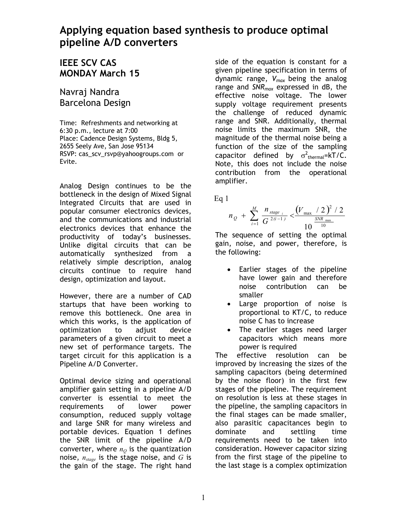## **Applying equation based synthesis to produce optimal pipeline A/D converters**

## **IEEE SCV CAS MONDAY March 15**

Navraj Nandra Barcelona Design

Time: Refreshments and networking at 6:30 p.m., lecture at 7:00 Place: Cadence Design Systems, Bldg 5, 2655 Seely Ave, San Jose 95134 RSVP: cas\_scv\_rsvp@yahoogroups.com or Evite.

Analog Design continues to be the bottleneck in the design of Mixed Signal Integrated Circuits that are used in popular consumer electronics devices, and the communications and industrial electronics devices that enhance the productivity of today's businesses. Unlike digital circuits that can be automatically synthesized from a relatively simple description, analog circuits continue to require hand design, optimization and layout.

However, there are a number of CAD startups that have been working to remove this bottleneck. One area in which this works, is the application of optimization to adjust device parameters of a given circuit to meet a new set of performance targets. The target circuit for this application is a Pipeline A/D Converter.

Optimal device sizing and operational amplifier gain setting in a pipeline A/D converter is essential to meet the requirements of lower power consumption, reduced supply voltage and large SNR for many wireless and portable devices. Equation 1 defines the SNR limit of the pipeline A/D converter, where  $n<sub>O</sub>$  is the quantization noise, *nstage* is the stage noise, and *G* is the gain of the stage. The right hand

side of the equation is constant for a given pipeline specification in terms of dynamic range, *Vmax* being the analog range and *SNRmax* expressed in dB, the effective noise voltage. The lower supply voltage requirement presents the challenge of reduced dynamic range and SNR. Additionally, thermal noise limits the maximum SNR, the magnitude of the thermal noise being a function of the size of the sampling capacitor defined by  $\sigma^2_{\text{thermal}}$ =kT/C. Note, this does not include the noise contribution from the operational amplifier.

Eq 1

$$
n_{Q} + \sum_{i=1}^{M} \frac{n_{\text{stage } i}}{G^{2(i-1)}} < \frac{(V_{\text{max}} / 2)^{2} / 2}{10^{ \frac{SNR_{\text{max}}}{10}}}
$$

The sequence of setting the optimal gain, noise, and power, therefore, is the following:

- Earlier stages of the pipeline have lower gain and therefore noise contribution can be smaller
- Large proportion of noise is proportional to KT/C, to reduce noise C has to increase
- The earlier stages need larger capacitors which means more power is required

The effective resolution can be improved by increasing the sizes of the sampling capacitors (being determined by the noise floor) in the first few stages of the pipeline. The requirement on resolution is less at these stages in the pipeline, the sampling capacitors in the final stages can be made smaller, also parasitic capacitances begin to dominate and settling time requirements need to be taken into consideration. However capacitor sizing from the first stage of the pipeline to the last stage is a complex optimization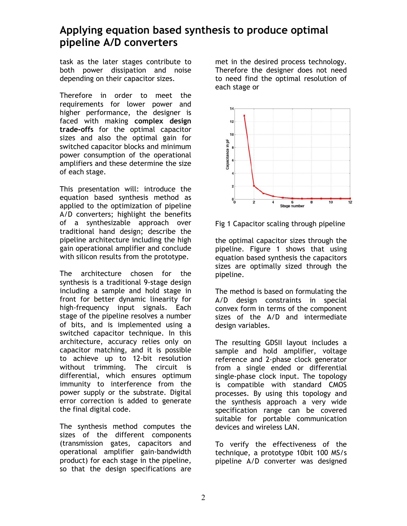## **Applying equation based synthesis to produce optimal pipeline A/D converters**

task as the later stages contribute to both power dissipation and noise depending on their capacitor sizes.

Therefore in order to meet the requirements for lower power and higher performance, the designer is faced with making **complex design trade-offs** for the optimal capacitor sizes and also the optimal gain for switched capacitor blocks and minimum power consumption of the operational amplifiers and these determine the size of each stage.

This presentation will: introduce the equation based synthesis method as applied to the optimization of pipeline A/D converters; highlight the benefits of a synthesizable approach over traditional hand design; describe the pipeline architecture including the high gain operational amplifier and conclude with silicon results from the prototype.

The architecture chosen for the synthesis is a traditional 9-stage design including a sample and hold stage in front for better dynamic linearity for high-frequency input signals. Each stage of the pipeline resolves a number of bits, and is implemented using a switched capacitor technique. In this architecture, accuracy relies only on capacitor matching, and it is possible to achieve up to 12-bit resolution without trimming. The circuit is differential, which ensures optimum immunity to interference from the power supply or the substrate. Digital error correction is added to generate the final digital code.

The synthesis method computes the sizes of the different components (transmission gates, capacitors and operational amplifier gain-bandwidth product) for each stage in the pipeline, so that the design specifications are

met in the desired process technology. Therefore the designer does not need to need find the optimal resolution of each stage or



Fig 1 Capacitor scaling through pipeline

the optimal capacitor sizes through the pipeline. Figure 1 shows that using equation based synthesis the capacitors sizes are optimally sized through the pipeline.

The method is based on formulating the A/D design constraints in special convex form in terms of the component sizes of the A/D and intermediate design variables.

The resulting GDSII layout includes a sample and hold amplifier, voltage reference and 2-phase clock generator from a single ended or differential single-phase clock input. The topology is compatible with standard CMOS processes. By using this topology and the synthesis approach a very wide specification range can be covered suitable for portable communication devices and wireless LAN.

To verify the effectiveness of the technique, a prototype 10bit 100 MS/s pipeline A/D converter was designed